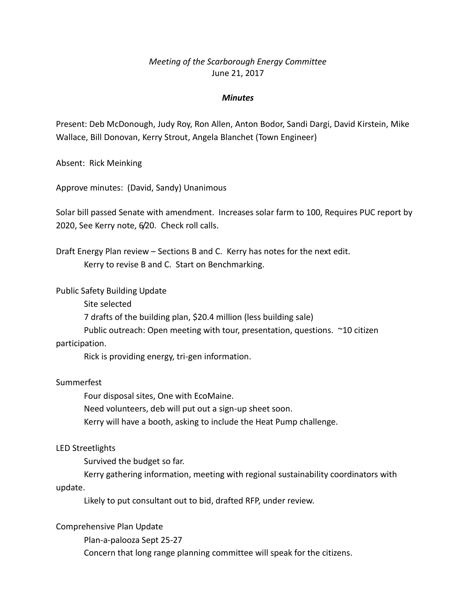# *Meeting of the Scarborough Energy Committee* June 21, 2017

### *Minutes*

Present: Deb McDonough, Judy Roy, Ron Allen, Anton Bodor, Sandi Dargi, David Kirstein, Mike Wallace, Bill Donovan, Kerry Strout, Angela Blanchet (Town Engineer)

Absent: Rick Meinking

Approve minutes: (David, Sandy) Unanimous

Solar bill passed Senate with amendment. Increases solar farm to 100, Requires PUC report by 2020, See Kerry note, 6/20. Check roll calls.

Draft Energy Plan review – Sections B and C. Kerry has notes for the next edit. Kerry to revise B and C. Start on Benchmarking.

Public Safety Building Update

Site selected

7 drafts of the building plan, \$20.4 million (less building sale)

Public outreach: Open meeting with tour, presentation, questions. ~10 citizen

#### participation.

Rick is providing energy, tri-gen information.

## Summerfest

Four disposal sites, One with EcoMaine. Need volunteers, deb will put out a sign-up sheet soon. Kerry will have a booth, asking to include the Heat Pump challenge.

#### LED Streetlights

Survived the budget so far.

Kerry gathering information, meeting with regional sustainability coordinators with update.

Likely to put consultant out to bid, drafted RFP, under review.

#### Comprehensive Plan Update

Plan-a-palooza Sept 25-27

Concern that long range planning committee will speak for the citizens.